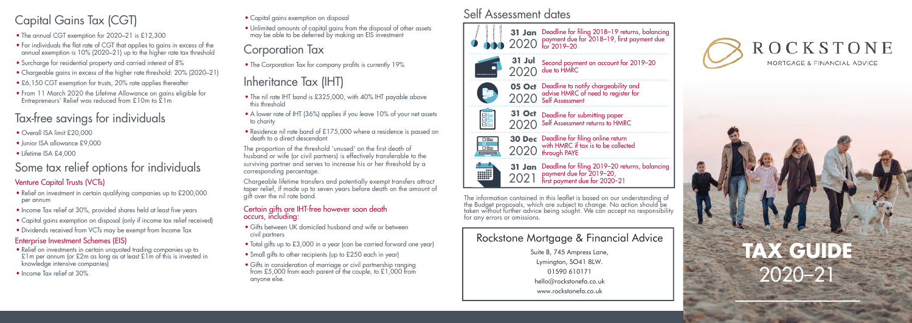# Capital Gains Tax (CGT) Capital gains exemption on disposal Self Assessment dates

- The annual CGT exemption for 2020–21 is £12,300
- For individuals the flat rate of CGT that applies to gains in excess of the annual exemption is 10% (2020–21) up to the higher rate tax threshold
- Surcharge for residential property and carried interest of 8%
- Chargeable gains in excess of the higher rate threshold: 20% (2020–21)
- £6,150 CGT exemption for trusts, 20% rate applies thereafter
- From 11 March 2020 the Lifetime Allowance on gains eligible for Entrepreneurs' Relief was reduced from £10m to £1m

# Tax-free savings for individuals

- Overall ISA limit £20,000
- Junior ISA allowance £9,000
- Lifetime ISA £4,000

# Some tax relief options for individuals

## Venture Capital Trusts (VCTs)

- Relief on investment in certain qualifying companies up to £200,000 per annum
- Income Tax relief at 30%, provided shares held at least five years
- Capital gains exemption on disposal (only if income tax relief received)
- Dividends received from VCTs may be exempt from Income Tax

### Enterprise Investment Schemes (EIS)

- Relief on investments in certain unquoted trading companies up to £1m per annum (or £2m as long as at least £1m of this is invested in knowledge intensive companies)
- Income Tax relief at 30%

## • Capital gains exemption on disposal

• Unlimited amounts of capital gains from the disposal of other assets may be able to be deferred by making an EIS investment

# Corporation Tax

• The Corporation Tax for company profits is currently 19%

# Inheritance Tax (IHT)

- The nil rate IHT band is £325,000, with 40% IHT payable above this threshold
- A lower rate of IHT (36%) applies if you leave 10% of your net assets to charity
- Residence nil rate band of £175,000 where a residence is passed on death to a direct descendant

The proportion of the threshold 'unused' on the first death of husband or wife (or civil partners) is effectively transferable to the surviving partner and serves to increase his or her threshold by a corresponding percentage.

Chargeable lifetime transfers and potentially exempt transfers attract taper relief, if made up to seven years before death on the amount of gift over the nil rate band.

### Certain gifts are IHT-free however soon death occurs, including:

- Gifts between UK domiciled husband and wife or between civil partners
- Total gifts up to £3,000 in a year (can be carried forward one year)
- Small gifts to other recipients (up to £250 each in year)
- Gifts in consideration of marriage or civil partnership ranging from £5,000 from each parent of the couple, to £1,000 from anyone else.







讍

**05 Oct** Deadline to notify chargeability and 2020 advise HMRC of need to register for<br>2020 Self Assessment

**31 Oct** Deadline for submitting paper 2020 Self Assessment returns to HMRC



Deadline for filing online return<br>with HMRC if tax is to be collected<br>through PAYE

**31 Jan** Deadline for filing 2019-20 returns, balancing payment due for 2019–20, first payment due for 2020-21 2021

The information contained in this leaflet is based on our understanding of the Budget proposals, which are subject to change. No action should be taken without further advice being sought. We can accept no responsibility for any errors or omissions.

## Rockstone Mortgage & Financial Advice

Suite B, 745 Ampress Lane. Lyminaton, SO41 8LW. 01590 610171 hello@rockstonefa.co.uk www.rockstonefa.co.uk